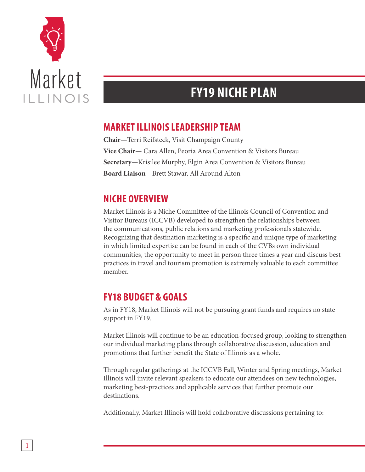

## **FY19 NICHE PLAN**

## **MARKET ILLINOIS LEADERSHIP TEAM**

**Chair**—Terri Reifsteck, Visit Champaign County **Vice Chair**— Cara Allen, Peoria Area Convention & Visitors Bureau **Secretary**—Krisilee Murphy, Elgin Area Convention & Visitors Bureau **Board Liaison**—Brett Stawar, All Around Alton

## **NICHE OVERVIEW**

Market Illinois is a Niche Committee of the Illinois Council of Convention and Visitor Bureaus (ICCVB) developed to strengthen the relationships between the communications, public relations and marketing professionals statewide. Recognizing that destination marketing is a specific and unique type of marketing in which limited expertise can be found in each of the CVBs own individual communities, the opportunity to meet in person three times a year and discuss best practices in travel and tourism promotion is extremely valuable to each committee member.

## **FY18 BUDGET & GOALS**

As in FY18, Market Illinois will not be pursuing grant funds and requires no state support in FY19.

Market Illinois will continue to be an education-focused group, looking to strengthen our individual marketing plans through collaborative discussion, education and promotions that further benefit the State of Illinois as a whole.

Through regular gatherings at the ICCVB Fall, Winter and Spring meetings, Market Illinois will invite relevant speakers to educate our attendees on new technologies, marketing best-practices and applicable services that further promote our destinations.

Additionally, Market Illinois will hold collaborative discussions pertaining to: